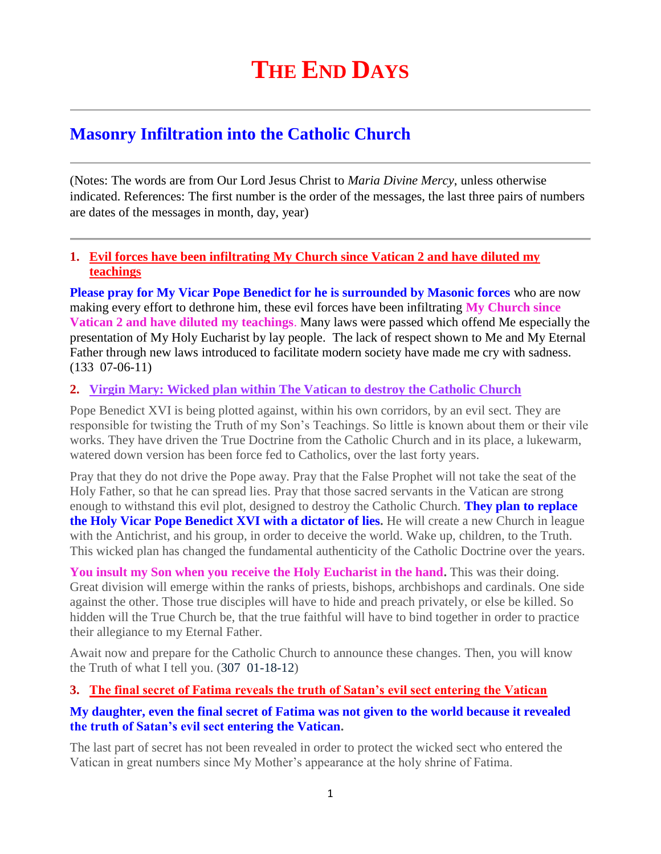# **Masonry Infiltration into the Catholic Church**

(Notes: The words are from Our Lord Jesus Christ to *Maria Divine Mercy*, unless otherwise indicated. References: The first number is the order of the messages, the last three pairs of numbers are dates of the messages in month, day, year)

## **1. Evil forces have been infiltrating My Church since Vatican 2 and have diluted my teachings**

**Please pray for My Vicar Pope Benedict for he is surrounded by Masonic forces** who are now making every effort to dethrone him, these evil forces have been infiltrating **My Church since Vatican 2 and have diluted my teachings**. Many laws were passed which offend Me especially the presentation of My Holy Eucharist by lay people. The lack of respect shown to Me and My Eternal Father through new laws introduced to facilitate modern society have made me cry with sadness. (133 07-06-11)

## **2. Virgin Mary: Wicked plan within [The Vatican to destroy the Catholic Church](http://www.thewarningsecondcoming.com/virgin-mary-wicked-plan-within-the-vatican-to-destroy-the-catholic-church/)**

Pope Benedict XVI is being plotted against, within his own corridors, by an evil sect. They are responsible for twisting the Truth of my Son's Teachings. So little is known about them or their vile works. They have driven the True Doctrine from the Catholic Church and in its place, a lukewarm, watered down version has been force fed to Catholics, over the last forty years.

Pray that they do not drive the Pope away. Pray that the False Prophet will not take the seat of the Holy Father, so that he can spread lies. Pray that those sacred servants in the Vatican are strong enough to withstand this evil plot, designed to destroy the Catholic Church. **They plan to replace the Holy Vicar Pope Benedict XVI with a dictator of lies.** He will create a new Church in league with the Antichrist, and his group, in order to deceive the world. Wake up, children, to the Truth. This wicked plan has changed the fundamental authenticity of the Catholic Doctrine over the years.

**You insult my Son when you receive the Holy Eucharist in the hand.** This was their doing. Great division will emerge within the ranks of priests, bishops, archbishops and cardinals. One side against the other. Those true disciples will have to hide and preach privately, or else be killed. So hidden will the True Church be, that the true faithful will have to bind together in order to practice their allegiance to my Eternal Father.

Await now and prepare for the Catholic Church to announce these changes. Then, you will know the Truth of what I tell you. (307 01-18-12)

#### **3. [The final secret of Fatima reveals the truth of Satan's evil sect entering the Vatican](http://www.thewarningsecondcoming.com/the-final-secret-of-fatima-reveals-the-truth-of-satans-evil-sect-entering-the-vatican/)**

#### **My daughter, even the final secret of Fatima was not given to the world because it revealed the truth of Satan's evil sect entering the Vatican.**

The last part of secret has not been revealed in order to protect the wicked sect who entered the Vatican in great numbers since My Mother's appearance at the holy shrine of Fatima.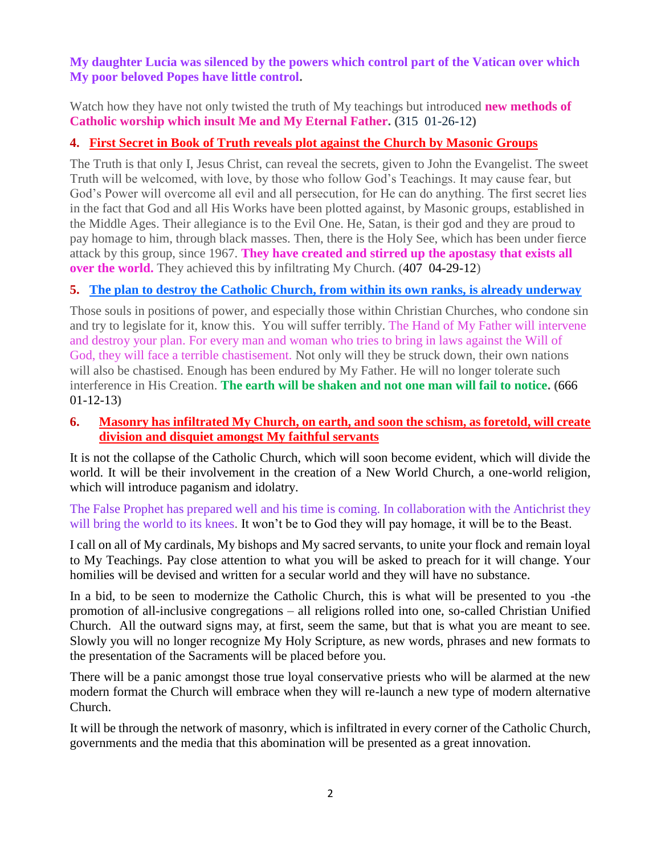#### **My daughter Lucia was silenced by the powers which control part of the Vatican over which My poor beloved Popes have little control.**

Watch how they have not only twisted the truth of My teachings but introduced **new methods of Catholic worship which insult Me and My Eternal Father. (**315 01-26-12**)**

## **4. First Secret in Book [of Truth reveals plot against the Church by Masonic Groups](http://www.thewarningsecondcoming.com/first-secret-in-book-of-truth-reveals-plot-against-the-church-by-masonic-groups/)**

The Truth is that only I, Jesus Christ, can reveal the secrets, given to John the Evangelist. The sweet Truth will be welcomed, with love, by those who follow God's Teachings. It may cause fear, but God's Power will overcome all evil and all persecution, for He can do anything. The first secret lies in the fact that God and all His Works have been plotted against, by Masonic groups, established in the Middle Ages. Their allegiance is to the Evil One. He, Satan, is their god and they are proud to pay homage to him, through black masses. Then, there is the Holy See, which has been under fierce attack by this group, since 1967. **They have created and stirred up the apostasy that exists all over the world.** They achieved this by infiltrating My Church. (407 04-29-12)

## **5. [The plan to destroy the Catholic Church, from within its own ranks, is already underway](http://www.thewarningsecondcoming.com/the-plan-to-destroy-the-catholic-church-from-within-its-own-ranks-is-already-underway-2/)**

Those souls in positions of power, and especially those within Christian Churches, who condone sin and try to legislate for it, know this. You will suffer terribly. The Hand of My Father will intervene and destroy your plan. For every man and woman who tries to bring in laws against the Will of God, they will face a terrible chastisement. Not only will they be struck down, their own nations will also be chastised. Enough has been endured by My Father. He will no longer tolerate such interference in His Creation. **The earth will be shaken and not one man will fail to notice. (**666 01-12-13**)**

#### **6. [Masonry has infiltrated My Church, on earth, and soon the schism, as foretold, will create](http://www.thewarningsecondcoming.com/masonry-has-infiltrated-my-church-on-earth-)  [division and disquiet amongst My faithful servants](http://www.thewarningsecondcoming.com/masonry-has-infiltrated-my-church-on-earth-)**

It is not the collapse of the Catholic Church, which will soon become evident, which will divide the world. It will be their involvement in the creation of a New World Church, a one-world religion, which will introduce paganism and idolatry.

The False Prophet has prepared well and his time is coming. In collaboration with the Antichrist they will bring the world to its knees. It won't be to God they will pay homage, it will be to the Beast.

I call on all of My cardinals, My bishops and My sacred servants, to unite your flock and remain loyal to My Teachings. Pay close attention to what you will be asked to preach for it will change. Your homilies will be devised and written for a secular world and they will have no substance.

In a bid, to be seen to modernize the Catholic Church, this is what will be presented to you -the promotion of all-inclusive congregations – all religions rolled into one, so-called Christian Unified Church. All the outward signs may, at first, seem the same, but that is what you are meant to see. Slowly you will no longer recognize My Holy Scripture, as new words, phrases and new formats to the presentation of the Sacraments will be placed before you.

There will be a panic amongst those true loyal conservative priests who will be alarmed at the new modern format the Church will embrace when they will re-launch a new type of modern alternative Church.

It will be through the network of masonry, which is infiltrated in every corner of the Catholic Church, governments and the media that this abomination will be presented as a great innovation.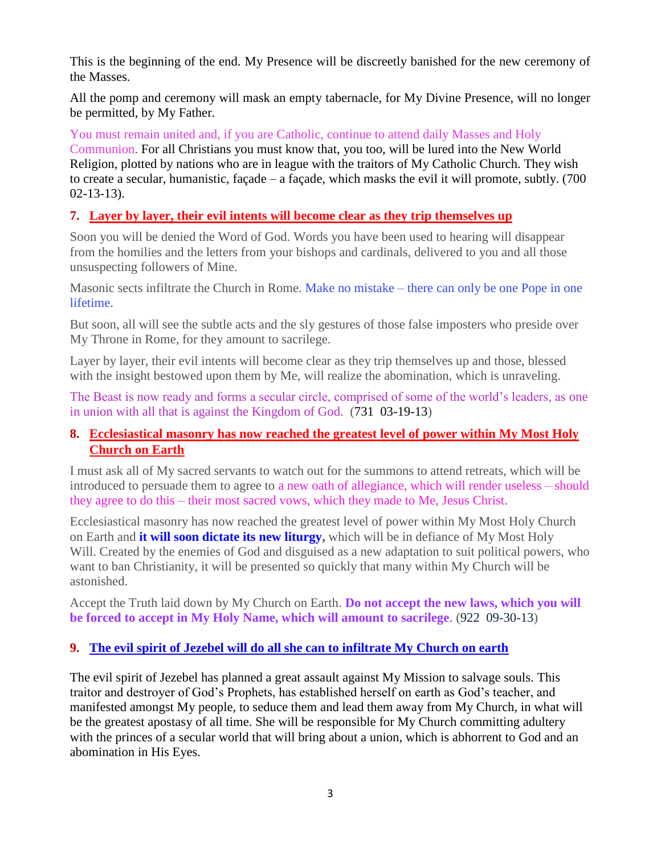This is the beginning of the end. My Presence will be discreetly banished for the new ceremony of the Masses.

All the pomp and ceremony will mask an empty tabernacle, for My Divine Presence, will no longer be permitted, by My Father.

You must remain united and, if you are Catholic, continue to attend daily Masses and Holy Communion. For all Christians you must know that, you too, will be lured into the New World Religion, plotted by nations who are in league with the traitors of My Catholic Church. They wish to create a secular, humanistic, façade – a façade, which masks the evil it will promote, subtly. (700 02-13-13).

# **7. Layer by layer, their [evil intents will become clear as they trip themselves up](http://www.thewarningsecondcoming.com/layer-by-layer-their-evil-intents-will-become-clear-as-they-trip-themselves-up/)**

Soon you will be denied the Word of God. Words you have been used to hearing will disappear from the homilies and the letters from your bishops and cardinals, delivered to you and all those unsuspecting followers of Mine.

Masonic sects infiltrate the Church in Rome. Make no mistake – there can only be one Pope in one lifetime.

But soon, all will see the subtle acts and the sly gestures of those false imposters who preside over My Throne in Rome, for they amount to sacrilege.

Layer by layer, their evil intents will become clear as they trip themselves up and those, blessed with the insight bestowed upon them by Me, will realize the abomination, which is unraveling.

The Beast is now ready and forms a secular circle, comprised of some of the world's leaders, as one in union with all that is against the Kingdom of God. (731 03-19-13)

## **8. [Ecclesiastical masonry has now reached the greatest level of power within My Most Holy](http://www.thewarningsecondcoming.com/ecclesiastical-masonry-has-now-reached-the-greatest-level-of-power-within-my-most-holy-church-on-earth/)  [Church on Earth](http://www.thewarningsecondcoming.com/ecclesiastical-masonry-has-now-reached-the-greatest-level-of-power-within-my-most-holy-church-on-earth/)**

I must ask all of My sacred servants to watch out for the summons to attend retreats, which will be introduced to persuade them to agree to a new oath of allegiance, which will render useless – should they agree to do this – their most sacred vows, which they made to Me, Jesus Christ.

Ecclesiastical masonry has now reached the greatest level of power within My Most Holy Church on Earth and **it will soon dictate its new liturgy,** which will be in defiance of My Most Holy Will. Created by the enemies of God and disguised as a new adaptation to suit political powers, who want to ban Christianity, it will be presented so quickly that many within My Church will be astonished.

Accept the Truth laid down by My Church on Earth. **Do not accept the new laws, which you will be forced to accept in My Holy Name, which will amount to sacrilege**. (922 09-30-13)

## **9. [The evil spirit of Jezebel will do all she can to infiltrate My Church on earth](http://www.thewarningsecondcoming.com/the-evil-spirit-of-jezebel-will-do-all-she-can-to-infiltrate-my-church-on-earth/)**

The evil spirit of Jezebel has planned a great assault against My Mission to salvage souls. This traitor and destroyer of God's Prophets, has established herself on earth as God's teacher, and manifested amongst My people, to seduce them and lead them away from My Church, in what will be the greatest apostasy of all time. She will be responsible for My Church committing adultery with the princes of a secular world that will bring about a union, which is abhorrent to God and an abomination in His Eyes.